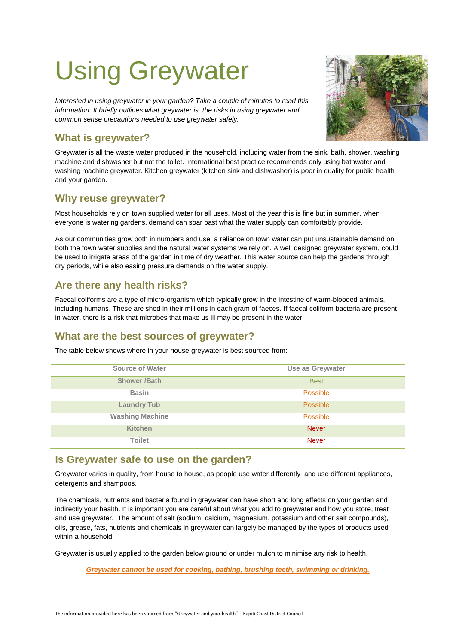# Using Greywater

*Interested in using greywater in your garden? Take a couple of minutes to read this information. It briefly outlines what greywater is, the risks in using greywater and common sense precautions needed to use greywater safely.*

# **What is greywater?**

Greywater is all the waste water produced in the household, including water from the sink, bath, shower, washing machine and dishwasher but not the toilet. International best practice recommends only using bathwater and washing machine greywater. Kitchen greywater (kitchen sink and dishwasher) is poor in quality for public health and your garden.

#### **Why reuse greywater?**

Most households rely on town supplied water for all uses. Most of the year this is fine but in summer, when everyone is watering gardens, demand can soar past what the water supply can comfortably provide.

As our communities grow both in numbers and use, a reliance on town water can put unsustainable demand on both the town water supplies and the natural water systems we rely on. A well designed greywater system, could be used to irrigate areas of the garden in time of dry weather. This water source can help the gardens through dry periods, while also easing pressure demands on the water supply.

# **Are there any health risks?**

Faecal coliforms are a type of micro-organism which typically grow in the intestine of warm-blooded animals, including humans. These are shed in their millions in each gram of faeces. If faecal coliform bacteria are present in water, there is a risk that microbes that make us ill may be present in the water.

# **What are the best sources of greywater?**

The table below shows where in your house greywater is best sourced from:

| <b>Source of Water</b> | Use as Greywater |
|------------------------|------------------|
| <b>Shower /Bath</b>    | <b>Best</b>      |
| <b>Basin</b>           | Possible         |
| <b>Laundry Tub</b>     | Possible         |
| <b>Washing Machine</b> | Possible         |
| <b>Kitchen</b>         | <b>Never</b>     |
| <b>Toilet</b>          | <b>Never</b>     |

# **Is Greywater safe to use on the garden?**

Greywater varies in quality, from house to house, as people use water differently and use different appliances, detergents and shampoos.

The chemicals, nutrients and bacteria found in greywater can have short and long effects on your garden and indirectly your health. It is important you are careful about what you add to greywater and how you store, treat and use greywater. The amount of salt (sodium, calcium, magnesium, potassium and other salt compounds), oils, grease, fats, nutrients and chemicals in greywater can largely be managed by the types of products used within a household.

Greywater is usually applied to the garden below ground or under mulch to minimise any risk to health.

*Greywater cannot be used for cooking, bathing, brushing teeth, swimming or drinking.*

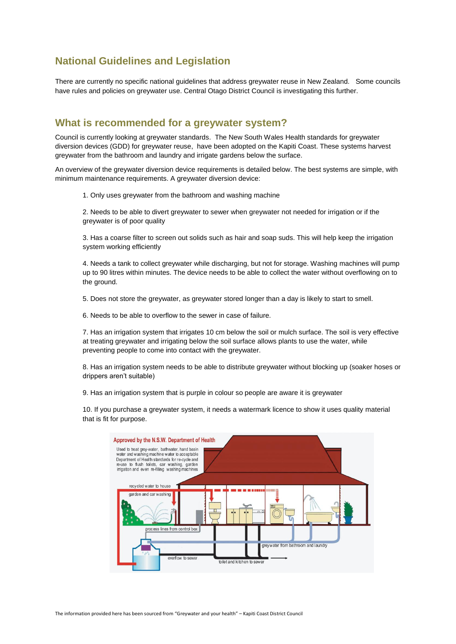# **National Guidelines and Legislation**

There are currently no specific national guidelines that address greywater reuse in New Zealand. Some councils have rules and policies on greywater use. Central Otago District Council is investigating this further.

#### **What is recommended for a greywater system?**

Council is currently looking at greywater standards. The New South Wales Health standards for greywater diversion devices (GDD) for greywater reuse, have been adopted on the Kapiti Coast. These systems harvest greywater from the bathroom and laundry and irrigate gardens below the surface.

An overview of the greywater diversion device requirements is detailed below. The best systems are simple, with minimum maintenance requirements. A greywater diversion device:

1. Only uses greywater from the bathroom and washing machine

2. Needs to be able to divert greywater to sewer when greywater not needed for irrigation or if the greywater is of poor quality

3. Has a coarse filter to screen out solids such as hair and soap suds. This will help keep the irrigation system working efficiently

4. Needs a tank to collect greywater while discharging, but not for storage. Washing machines will pump up to 90 litres within minutes. The device needs to be able to collect the water without overflowing on to the ground.

5. Does not store the greywater, as greywater stored longer than a day is likely to start to smell.

6. Needs to be able to overflow to the sewer in case of failure.

7. Has an irrigation system that irrigates 10 cm below the soil or mulch surface. The soil is very effective at treating greywater and irrigating below the soil surface allows plants to use the water, while preventing people to come into contact with the greywater.

8. Has an irrigation system needs to be able to distribute greywater without blocking up (soaker hoses or drippers aren't suitable)

9. Has an irrigation system that is purple in colour so people are aware it is greywater

10. If you purchase a greywater system, it needs a watermark licence to show it uses quality material that is fit for purpose.

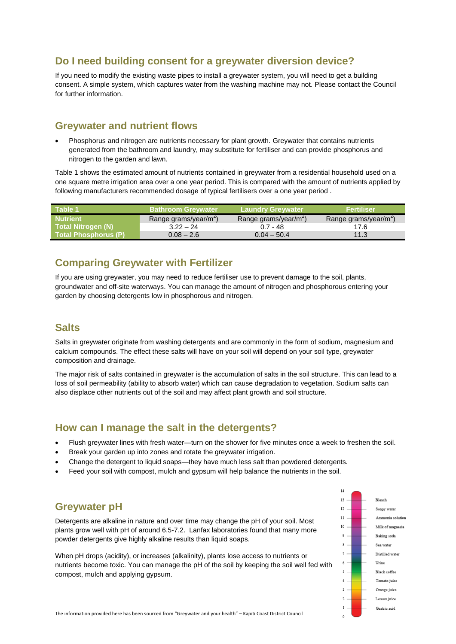# **Do I need building consent for a greywater diversion device?**

If you need to modify the existing waste pipes to install a greywater system, you will need to get a building consent. A simple system, which captures water from the washing machine may not. Please contact the Council for further information.

#### **Greywater and nutrient flows**

 Phosphorus and nitrogen are nutrients necessary for plant growth. Greywater that contains nutrients generated from the bathroom and laundry, may substitute for fertiliser and can provide phosphorus and nitrogen to the garden and lawn.

Table 1 shows the estimated amount of nutrients contained in greywater from a residential household used on a one square metre irrigation area over a one year period. This is compared with the amount of nutrients applied by following manufacturers recommended dosage of typical fertilisers over a one year period .

| Table 1                     | <b>Bathroom Grevwater</b>         | <b>Laundry Greywater</b>          | <b>Fertiliser</b>                 |
|-----------------------------|-----------------------------------|-----------------------------------|-----------------------------------|
| <b>Nutrient</b>             | Range grams/year/m <sup>-</sup> ) | Range grams/year/m <sup>-</sup> ) | Range grams/year/m <sup>-</sup> ) |
| Total Nitrogen (N)          | $3.22 - 24$                       | $0.7 - 48$                        | 17.6                              |
| <b>Total Phosphorus (P)</b> | $0.08 - 2.6$                      | $0.04 - 50.4$                     | 11.3                              |

### **Comparing Greywater with Fertilizer**

If you are using greywater, you may need to reduce fertiliser use to prevent damage to the soil, plants, groundwater and off-site waterways. You can manage the amount of nitrogen and phosphorous entering your garden by choosing detergents low in phosphorous and nitrogen.

#### **Salts**

Salts in greywater originate from washing detergents and are commonly in the form of sodium, magnesium and calcium compounds. The effect these salts will have on your soil will depend on your soil type, greywater composition and drainage.

The major risk of salts contained in greywater is the accumulation of salts in the soil structure. This can lead to a loss of soil permeability (ability to absorb water) which can cause degradation to vegetation. Sodium salts can also displace other nutrients out of the soil and may affect plant growth and soil structure.

#### **How can I manage the salt in the detergents?**

- Flush greywater lines with fresh water—turn on the shower for five minutes once a week to freshen the soil.
- Break your garden up into zones and rotate the greywater irrigation.
- Change the detergent to liquid soaps—they have much less salt than powdered detergents.
- Feed your soil with compost, mulch and gypsum will help balance the nutrients in the soil.

# **Greywater pH**

Detergents are alkaline in nature and over time may change the pH of your soil. Most plants grow well with pH of around 6.5-7.2. Lanfax laboratories found that many more powder detergents give highly alkaline results than liquid soaps.

When pH drops (acidity), or increases (alkalinity), plants lose access to nutrients or nutrients become toxic. You can manage the pH of the soil by keeping the soil well fed with compost, mulch and applying gypsum.